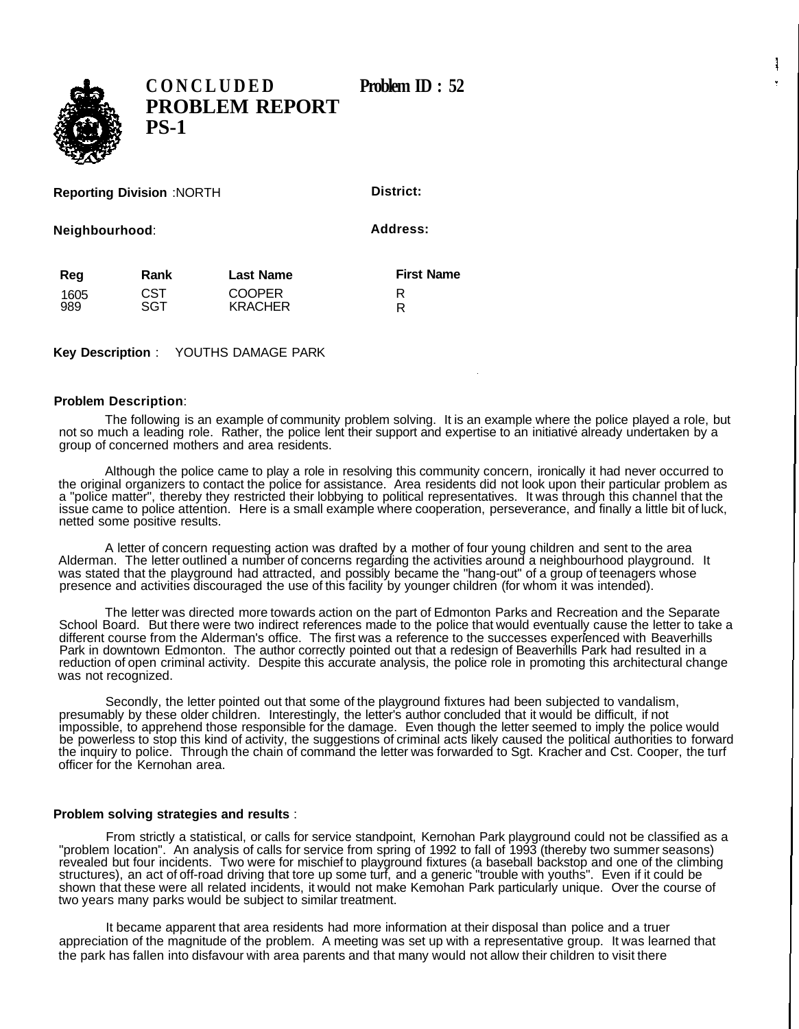

**CONCLUDED** Problem ID: 52 **PROBLEM REPORT PS-1**

**Reporting Division** :NORTH

**District:**

**Neighbourhood**:

**Address:**

| Reg  | Rank       | <b>Last Name</b> | <b>First Name</b> |
|------|------------|------------------|-------------------|
| 1605 | <b>CST</b> | <b>COOPER</b>    |                   |
| 989  | SGT        | <b>KRACHER</b>   | R                 |

**Key Description** : YOUTHS DAMAGE PARK

## **Problem Description**:

The following is an example of community problem solving. It is an example where the police played a role, but not so much a leading role. Rather, the police lent their support and expertise to an initiative already undertaken by a group of concerned mothers and area residents.

Although the police came to play a role in resolving this community concern, ironically it had never occurred to the original organizers to contact the police for assistance. Area residents did not look upon their particular problem as a "police matter", thereby they restricted their lobbying to political representatives. It was through this channel that the issue came to police attention. Here is a small example where cooperation, perseverance, and finally a little bit of luck, netted some positive results.

A letter of concern requesting action was drafted by a mother of four young children and sent to the area Alderman. The letter outlined a number of concerns regarding the activities around a neighbourhood playground. It was stated that the playground had attracted, and possibly became the "hang-out" of a group of teenagers whose presence and activities discouraged the use of this facility by younger children (for whom it was intended).

The letter was directed more towards action on the part of Edmonton Parks and Recreation and the Separate School Board. But there were two indirect references made to the police that would eventually cause the letter to take a different course from the Alderman's office. The first was a reference to the successes experienced with Beaverhills Park in downtown Edmonton. The author correctly pointed out that a redesign of Beaverhills Park had resulted in a reduction of open criminal activity. Despite this accurate analysis, the police role in promoting this architectural change was not recognized.

Secondly, the letter pointed out that some of the playground fixtures had been subjected to vandalism, presumably by these older children. Interestingly, the letter's author concluded that it would be difficult, if not impossible, to apprehend those responsible for the damage. Even though the letter seemed to imply the police would be powerless to stop this kind of activity, the suggestions of criminal acts likely caused the political authorities to forward the inquiry to police. Through the chain of command the letter was forwarded to Sgt. Kracher and Cst. Cooper, the turf officer for the Kernohan area.

## **Problem solving strategies and results** :

From strictly a statistical, or calls for service standpoint, Kernohan Park playground could not be classified as a "problem location". An analysis of calls for service from spring of 1992 to fall of 1993 (thereby two summer seasons) revealed but four incidents. Two were for mischief to playground fixtures (a baseball backstop and one of the climbing structures), an act of off-road driving that tore up some turf, and a generic "trouble with youths". Even if it could be shown that these were all related incidents, it would not make Kemohan Park particularly unique. Over the course of two years many parks would be subject to similar treatment.

It became apparent that area residents had more information at their disposal than police and a truer appreciation of the magnitude of the problem. A meeting was set up with a representative group. It was learned that the park has fallen into disfavour with area parents and that many would not allow their children to visit there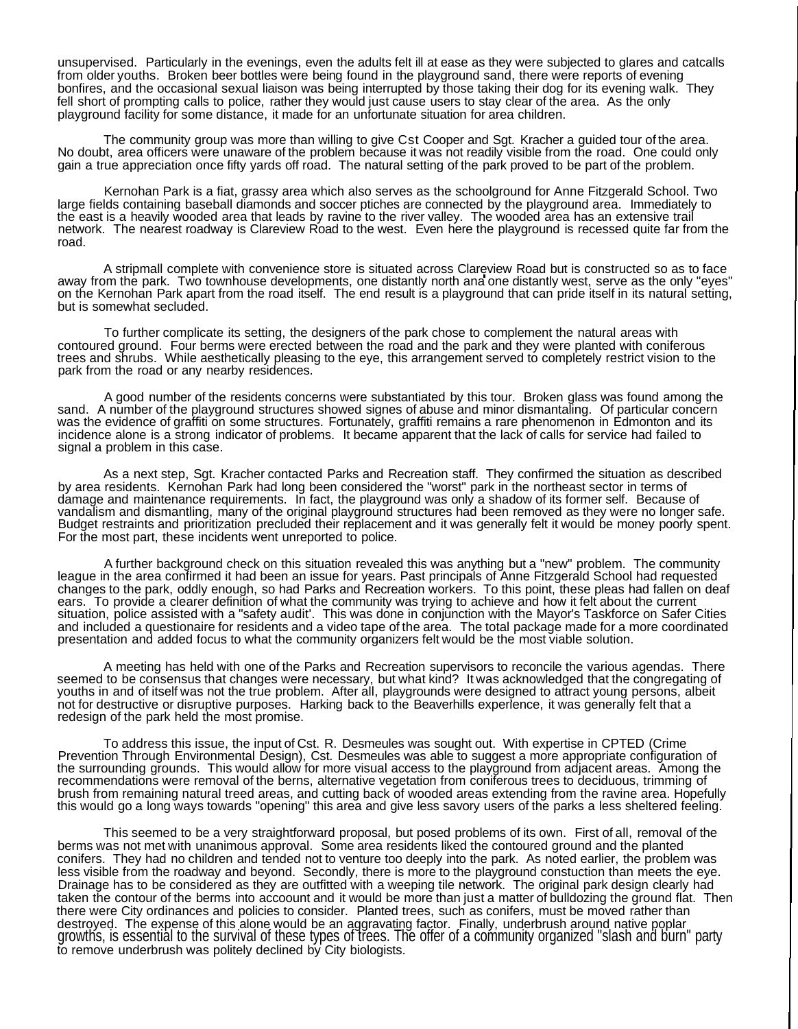unsupervised. Particularly in the evenings, even the adults felt ill at ease as they were subjected to glares and catcalls from older youths. Broken beer bottles were being found in the playground sand, there were reports of evening bonfires, and the occasional sexual liaison was being interrupted by those taking their dog for its evening walk. They fell short of prompting calls to police, rather they would just cause users to stay clear of the area. As the only playground facility for some distance, it made for an unfortunate situation for area children.

The community group was more than willing to give Cst Cooper and Sgt. Kracher a guided tour of the area. No doubt, area officers were unaware of the problem because it was not readily visible from the road. One could only gain a true appreciation once fifty yards off road. The natural setting of the park proved to be part of the problem.

Kernohan Park is a fiat, grassy area which also serves as the schoolground for Anne Fitzgerald School. Two large fields containing baseball diamonds and soccer ptiches are connected by the playground area. Immediately to the east is a heavily wooded area that leads by ravine to the river valley. The wooded area has an extensive trail network. The nearest roadway is Clareview Road to the west. Even here the playground is recessed quite far from the road.

A stripmall complete with convenience store is situated across Clareview Road but is constructed so as to face away from the park. Two townhouse developments, one distantly north ana one distantly west, serve as the only "eyes" on the Kernohan Park apart from the road itself. The end result is a playground that can pride itself in its natural setting, but is somewhat secluded.

To further complicate its setting, the designers of the park chose to complement the natural areas with contoured ground. Four berms were erected between the road and the park and they were planted with coniferous trees and shrubs. While aesthetically pleasing to the eye, this arrangement served to completely restrict vision to the park from the road or any nearby residences.

A good number of the residents concerns were substantiated by this tour. Broken glass was found among the sand. A number of the playground structures showed signes of abuse and minor dismantaling. Of particular concern was the evidence of graffiti on some structures. Fortunately, graffiti remains a rare phenomenon in Edmonton and its incidence alone is a strong indicator of problems. It became apparent that the lack of calls for service had failed to signal a problem in this case.

As a next step, Sgt. Kracher contacted Parks and Recreation staff. They confirmed the situation as described by area residents. Kernohan Park had long been considered the "worst" park in the northeast sector in terms of damage and maintenance requirements. In fact, the playground was only a shadow of its former self. Because of vandalism and dismantling, many of the original playground structures had been removed as they were no longer safe. Budget restraints and prioritization precluded their replacement and it was generally felt it would be money poorly spent. For the most part, these incidents went unreported to police.

A further background check on this situation revealed this was anything but a "new" problem. The community league in the area confirmed it had been an issue for years. Past principals of Anne Fitzgerald School had requested changes to the park, oddly enough, so had Parks and Recreation workers. To this point, these pleas had fallen on deaf ears. To provide a clearer definition of what the community was trying to achieve and how it felt about the current situation, police assisted with a "safety audit'. This was done in conjunction with the Mayor's Taskforce on Safer Cities and included a questionaire for residents and a video tape of the area. The total package made for a more coordinated presentation and added focus to what the community organizers felt would be the most viable solution.

A meeting has held with one of the Parks and Recreation supervisors to reconcile the various agendas. There seemed to be consensus that changes were necessary, but what kind? It was acknowledged that the congregating of youths in and of itself was not the true problem. After all, playgrounds were designed to attract young persons, albeit not for destructive or disruptive purposes. Harking back to the Beaverhills experience, it was generally felt that a redesign of the park held the most promise.

To address this issue, the input of Cst. R. Desmeules was sought out. With expertise in CPTED (Crime Prevention Through Environmental Design), Cst. Desmeules was able to suggest a more appropriate configuration of the surrounding grounds. This would allow for more visual access to the playground from adjacent areas. Among the recommendations were removal of the berns, alternative vegetation from coniferous trees to deciduous, trimming of brush from remaining natural treed areas, and cutting back of wooded areas extending from the ravine area. Hopefully this would go a long ways towards "opening" this area and give less savory users of the parks a less sheltered feeling.

This seemed to be a very straightforward proposal, but posed problems of its own. First of all, removal of the berms was not met with unanimous approval. Some area residents liked the contoured ground and the planted conifers. They had no children and tended not to venture too deeply into the park. As noted earlier, the problem was less visible from the roadway and beyond. Secondly, there is more to the playground constuction than meets the eye. Drainage has to be considered as they are outfitted with a weeping tile network. The original park design clearly had taken the contour of the berms into accoount and it would be more than just a matter of bulldozing the ground flat. Then there were City ordinances and policies to consider. Planted trees, such as conifers, must be moved rather than destroyed. The expense of this alone would be an aggravating factor. Finally, underbrush around native poplar growths, is essential to the survival of these types of trees. The offer of a community organized "slash and burn" party to remove underbrush was politely declined by City biologists.